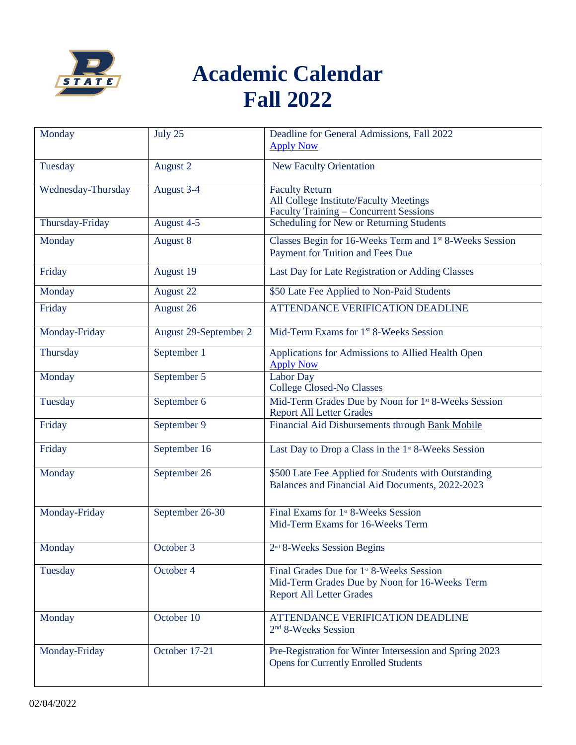

## **Academic Calendar Fall 2022**

| Monday             | July 25               | Deadline for General Admissions, Fall 2022<br><b>Apply Now</b>                                                                           |
|--------------------|-----------------------|------------------------------------------------------------------------------------------------------------------------------------------|
| Tuesday            | August 2              | <b>New Faculty Orientation</b>                                                                                                           |
| Wednesday-Thursday | August 3-4            | <b>Faculty Return</b><br>All College Institute/Faculty Meetings<br><b>Faculty Training - Concurrent Sessions</b>                         |
| Thursday-Friday    | August 4-5            | Scheduling for New or Returning Students                                                                                                 |
| Monday             | August 8              | Classes Begin for 16-Weeks Term and 1st 8-Weeks Session<br>Payment for Tuition and Fees Due                                              |
| Friday             | August 19             | Last Day for Late Registration or Adding Classes                                                                                         |
| Monday             | August 22             | \$50 Late Fee Applied to Non-Paid Students                                                                                               |
| Friday             | August 26             | ATTENDANCE VERIFICATION DEADLINE                                                                                                         |
| Monday-Friday      | August 29-September 2 | Mid-Term Exams for 1 <sup>st</sup> 8-Weeks Session                                                                                       |
| Thursday           | September 1           | Applications for Admissions to Allied Health Open<br><b>Apply Now</b>                                                                    |
| Monday             | September 5           | <b>Labor Day</b><br><b>College Closed-No Classes</b>                                                                                     |
| Tuesday            | September 6           | Mid-Term Grades Due by Noon for 1 <sup>st</sup> 8-Weeks Session<br><b>Report All Letter Grades</b>                                       |
| Friday             | September 9           | Financial Aid Disbursements through Bank Mobile                                                                                          |
| Friday             | September 16          | Last Day to Drop a Class in the 1 <sup>st</sup> 8-Weeks Session                                                                          |
| Monday             | September 26          | \$500 Late Fee Applied for Students with Outstanding<br>Balances and Financial Aid Documents, 2022-2023                                  |
| Monday-Friday      | September 26-30       | Final Exams for 1 <sup>st</sup> 8-Weeks Session<br>Mid-Term Exams for 16-Weeks Term                                                      |
| Monday             | October 3             | 2 <sup>nd</sup> 8-Weeks Session Begins                                                                                                   |
| Tuesday            | October 4             | Final Grades Due for 1 <sup>st</sup> 8-Weeks Session<br>Mid-Term Grades Due by Noon for 16-Weeks Term<br><b>Report All Letter Grades</b> |
| Monday             | October 10            | ATTENDANCE VERIFICATION DEADLINE<br>2 <sup>nd</sup> 8-Weeks Session                                                                      |
| Monday-Friday      | October 17-21         | Pre-Registration for Winter Intersession and Spring 2023<br><b>Opens for Currently Enrolled Students</b>                                 |